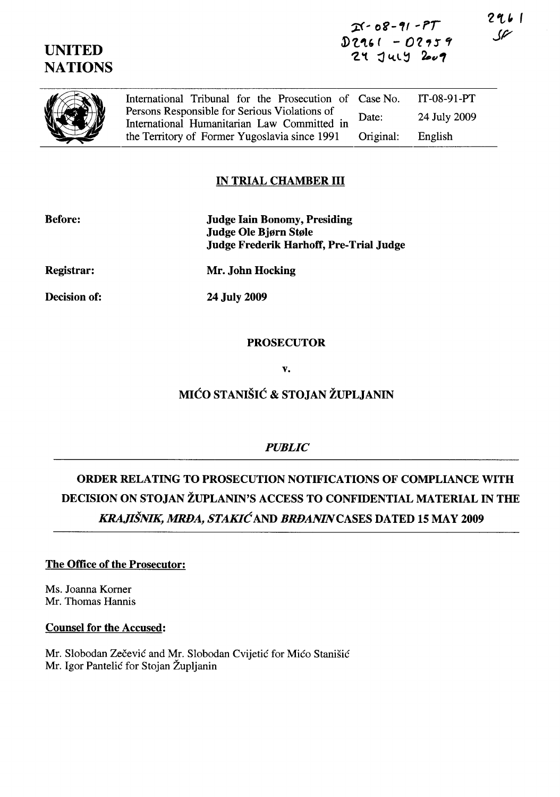# $25 - 08 - 91 - 97$ D2161 - 02959  $24$  July  $200$

(I) , " International Tribunal for the Prosecution of Case No. IT-08-91-PT Persons Responsible for Serious Violations of Date: 24 July 2009 International Humanitarian Law Committed in the Territory of Former Yugoslavia since 1991 Original: English

# IN TRIAL CHAMBER III

| <b>Before:</b>    | <b>Judge Iain Bonomy, Presiding</b><br>Judge Ole Bjørn Støle<br><b>Judge Frederik Harhoff, Pre-Trial Judge</b> |
|-------------------|----------------------------------------------------------------------------------------------------------------|
| <b>Registrar:</b> | Mr. John Hocking                                                                                               |
| Decision of:      | 24 July 2009                                                                                                   |

### PROSECUTOR

v.

# MICO STANISIC & STOJAN ZUPLJANIN

## *PUBLIC*

# ORDER RELATING TO PROSECUTION NOTIFICATIONS OF COMPLIANCE WITH DECISION ON STOJAN ZUPLANIN'S ACCESS TO CONFIDENTIAL MATERIAL IN THE *KRAJISNIK, MRDA, STAKIC* AND *BRDANINCASES* DATED 15 MAY 2009

## The Office of the Prosecutor:

Ms. Joanna Komer Mr. Thomas Hannis

#### Counsel for the Accused:

Mr. Slobodan Zečević and Mr. Slobodan Cvijetić for Mićo Stanišić Mr. Igor Pantelic for Stojan Zupljanin

296 l  $\mathscr C$ 



UNITED **NATIONS**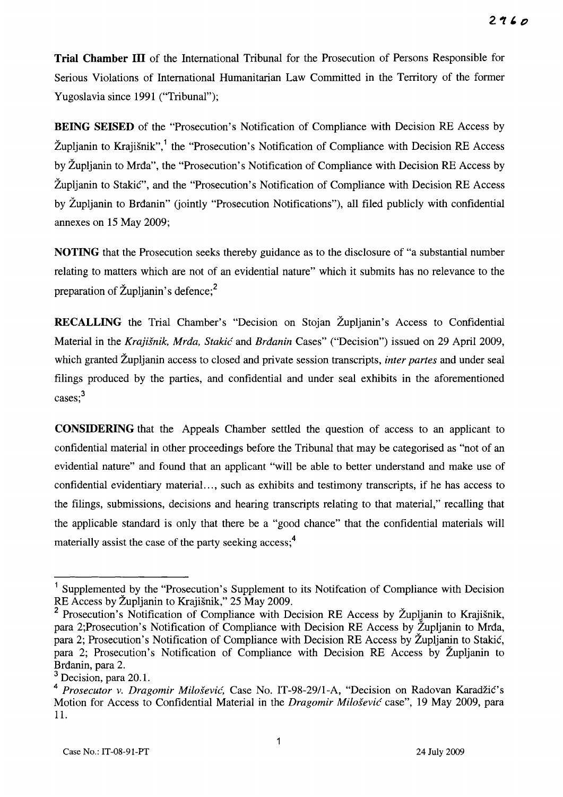**Trial Chamber III** of the International Tribunal for the Prosecution of Persons Responsible for Serious Violations of International Humanitarian Law Committed in the Territory of the former Yugoslavia since 1991 ("Tribunal");

**BEING SEISED** of the "Prosecution's Notification of Compliance with Decision RE Access by Župljanin to Krajišnik",<sup>1</sup> the "Prosecution's Notification of Compliance with Decision RE Access by Zupljanin to Mrda", the "Prosecution's Notification of Compliance with Decision RE Access by Župljanin to Stakić", and the "Prosecution's Notification of Compliance with Decision RE Access by Zupljanin to Brdanin" (jointly "Prosecution Notifications"), all filed publicly with confidential annexes on 15 May 2009;

**NOTING** that the Prosecution seeks thereby guidance as to the disclosure of "a substantial number relating to matters which are not of an evidential nature" which it submits has no relevance to the preparation of  $\text{Zupljanin's}$  defence;<sup>2</sup>

**RECALLING** the Trial Chamber's "Decision on Stojan Župljanin's Access to Confidential Material in the *Krajisnik, Mrda, Stakic* and *Brdanin* Cases" ("Decision") issued on 29 April 2009, which granted Zupljanin access to closed and private session transcripts, *inter partes* and under seal filings produced by the parties, and confidential and under seal exhibits in the aforementioned cases;<sup>3</sup>

**CONSIDERING** that the Appeals Chamber settled the question of access to an applicant to confidential material in other proceedings before the Tribunal that may be categorised as "not of an evidential nature" and found that an applicant "will be able to better understand and make use of confidential evidentiary material ... , such as exhibits and testimony transcripts, if he has access to the filings, submissions, decisions and hearing transcripts relating to that material," recalling that the applicable standard is only that there be a "good chance" that the confidential materials will materially assist the case of the party seeking access;<sup>4</sup>

<sup>&</sup>lt;sup>1</sup> Supplemented by the "Prosecution's Supplement to its Notifcation of Compliance with Decision RE Access by Zupljanin to Krajisnik," 25 May 2009.

<sup>&</sup>lt;sup>2</sup> Prosecution's Notification of Compliance with Decision RE Access by Župljanin to Krajišnik, para 2;Prosecution's Notification of Compliance with Decision RE Access by Zupljanin to Mrda, para 2; Prosecution's Notification of Compliance with Decision RE Access by Župljanin to Stakić, para 2; Prosecution's Notification of Compliance with Decision RE Access by Zupljanin to Brdanin, para 2.

 $3$  Decision, para 20.1.

<sup>&</sup>lt;sup>4</sup> Prosecutor v. *Dragomir Milošević*, Case No. IT-98-29/1-A, "Decision on Radovan Karadžić's Motion for Access to Confidential Material in the *Dragomir Milosevic* case", 19 May 2009, para 11.